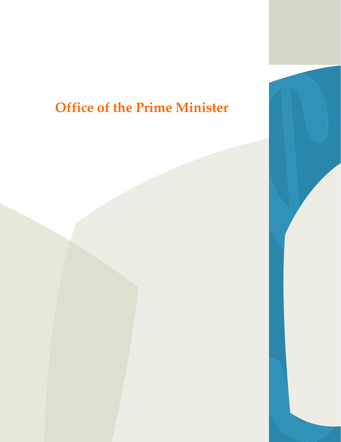# **Office of the Prime Minister**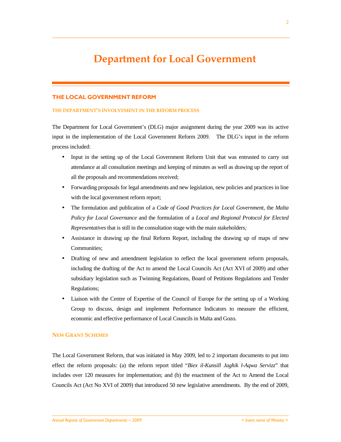# THE LOCAL GOVERNMENT REFORM

#### **THE DEPARTMENT'S INVOLVEMENT IN THE REFORM PROCESS**

The Department for Local Government's (DLG) major assignment during the year 2009 was its active input in the implementation of the Local Government Reform 2009. The DLG's input in the reform process included:

- Input in the setting up of the Local Government Reform Unit that was entrusted to carry out attendance at all consultation meetings and keeping of minutes as well as drawing up the report of all the proposals and recommendations received;
- Forwarding proposals for legal amendments and new legislation, new policies and practices in line with the local government reform report;
- The formulation and publication of a *Code of Good Practices for Local Government*, the *Malta Policy for Local Governance* and the formulation of a *Local and Regional Protocol for Elected Representatives* that is still in the consultation stage with the main stakeholders*;*
- Assistance in drawing up the final Reform Report, including the drawing up of maps of new Communities;
- Drafting of new and amendment legislation to reflect the local government reform proposals, including the drafting of the Act to amend the Local Councils Act (Act XVI of 2009) and other subsidiary legislation such as Twinning Regulations, Board of Petitions Regulations and Tender Regulations;
- Liaison with the Centre of Expertise of the Council of Europe for the setting up of a Working Group to discuss, design and implement Performance Indicators to measure the efficient, economic and effective performance of Local Councils in Malta and Gozo.

#### **NEW GRANT SCHEMES**

The Local Government Reform, that was initiated in May 2009, led to 2 important documents to put into effect the reform proposals: (a) the reform report titled "*Biex il-Kunsill Jag*ħ*ik l-Aqwa Servizz*" that includes over 120 measures for implementation; and (b) the enactment of the Act to Amend the Local Councils Act (Act No XVI of 2009) that introduced 50 new legislative amendments. By the end of 2009,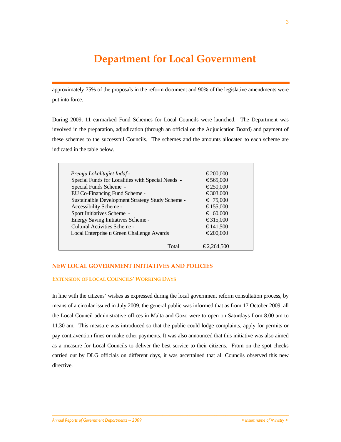approximately 75% of the proposals in the reform document and 90% of the legislative amendments were put into force.

During 2009, 11 earmarked Fund Schemes for Local Councils were launched. The Department was involved in the preparation, adjudication (through an official on the Adjudication Board) and payment of these schemes to the successful Councils. The schemes and the amounts allocated to each scheme are indicated in the table below.

| Premju Lokalitajiet Indaf -                       | € 200,000   |
|---------------------------------------------------|-------------|
| Special Funds for Localities with Special Needs - | € 565,000   |
| Special Funds Scheme -                            | € 250,000   |
| EU Co-Financing Fund Scheme -                     | € 303,000   |
| Sustainaible Development Strategy Study Scheme -  | € 75,000    |
| Accessibility Scheme -                            | € 155,000   |
| Sport Initiatives Scheme -                        | € 60,000    |
| Energy Saving Initiatives Scheme -                | € 315,000   |
| Cultural Activities Scheme -                      | € 141,500   |
| Local Enterprise u Green Challenge Awards         | €200,000    |
|                                                   |             |
| Total                                             | € 2.264.500 |

# **NEW LOCAL GOVERNMENT INITIATIVES AND POLICIES**

# **EXTENSION OF LOCAL COUNCILS' WORKING DAYS**

In line with the citizens' wishes as expressed during the local government reform consultation process, by means of a circular issued in July 2009, the general public was informed that as from 17 October 2009, all the Local Council administrative offices in Malta and Gozo were to open on Saturdays from 8.00 am to 11.30 am. This measure was introduced so that the public could lodge complaints, apply for permits or pay contravention fines or make other payments. It was also announced that this initiative was also aimed as a measure for Local Councils to deliver the best service to their citizens. From on the spot checks carried out by DLG officials on different days, it was ascertained that all Councils observed this new directive.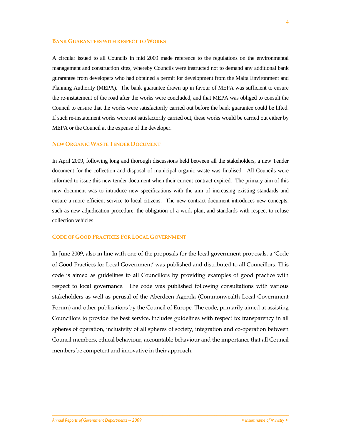#### **BANK GUARANTEES WITH RESPECT TO WORKS**

A circular issued to all Councils in mid 2009 made reference to the regulations on the environmental management and construction sites, whereby Councils were instructed not to demand any additional bank gurarantee from developers who had obtained a permit for development from the Malta Environment and Planning Authority (MEPA). The bank guarantee drawn up in favour of MEPA was sufficient to ensure the re-instatement of the road after the works were concluded, and that MEPA was obliged to consult the Council to ensure that the works were satisfactorily carried out before the bank guarantee could be lifted. If such re-instatement works were not satisfactorily carried out, these works would be carried out either by MEPA or the Council at the expense of the developer.

# **NEW ORGANIC WASTE TENDER DOCUMENT**

In April 2009, following long and thorough discussions held between all the stakeholders, a new Tender document for the collection and disposal of municipal organic waste was finalised. All Councils were informed to issue this new tender document when their current contract expired. The primary aim of this new document was to introduce new specifications with the aim of increasing existing standards and ensure a more efficient service to local citizens. The new contract document introduces new concepts, such as new adjudication procedure, the obligation of a work plan, and standards with respect to refuse collection vehicles.

# **CODE OF GOOD PRACTICES FOR LOCAL GOVERNMENT**

In June 2009, also in line with one of the proposals for the local government proposals, a 'Code of Good Practices for Local Government' was published and distributed to all Councillors. This code is aimed as guidelines to all Councillors by providing examples of good practice with respect to local governance. The code was published following consultations with various stakeholders as well as perusal of the Aberdeen Agenda (Commonwealth Local Government Forum) and other publications by the Council of Europe. The code, primarily aimed at assisting Councillors to provide the best service, includes guidelines with respect to: transparency in all spheres of operation, inclusivity of all spheres of society, integration and co-operation between Council members, ethical behaviour, accountable behaviour and the importance that all Council members be competent and innovative in their approach.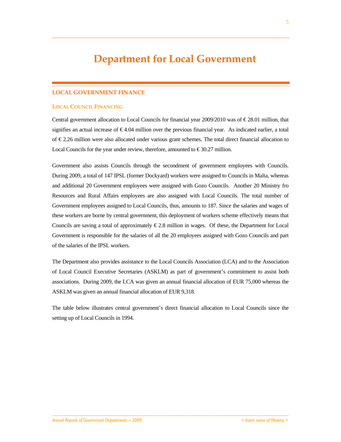# **LOCAL GOVERNMENT FINANCE**

# **LOCAL COUNCIL FINANCING**

Central government allocation to Local Councils for financial year  $2009/2010$  was of  $\in$  28.01 million, hat signifies an actual increase of  $\epsilon$  4.04 million over the previous financial year. As indicated earlier, a total of € 2.26 million were also allocated under various grant schemes. The total direct financial allocation to Local Councils for the year under review, therefore, amounted to  $\epsilon$  30.27 million.

Government also assists Councils through the secondment of government employees with Councils. During 2009, a total of 147 IPSL (former Dockyard) workers were assigned to Councils in Malta, whereas and additional 20 Government employees were assigned with Gozo Councils. Another 20 Ministry fro Resources and Rural Affairs employees are also assigned with Local Councils. The total number of Government employees assigned to Local Councils, thus, amounts to 187. Since the salaries and wages of these workers are borne by central government, this deployment of workers scheme effectively means that Councils are saving a total of approximately  $\epsilon$  2.8 million in wages. Of these, the Department for Local Government is responsible for the salaries of all the 20 employees assigned with Gozo Councils and part of the salaries of the IPSL workers.

The Department also provides assistance to the Local Councils Association (LCA) and to the Association of Local Council Executive Secretaries (ASKLM) as part of government's commitment to assist both associations. During 2009, the LCA was given an annual financial allocation of EUR 75,000 whereas the ASKLM was given an annual financial allocation of EUR 9,318.

The table below illustrates central government's direct financial allocation to Local Councils since the setting up of Local Councils in 1994.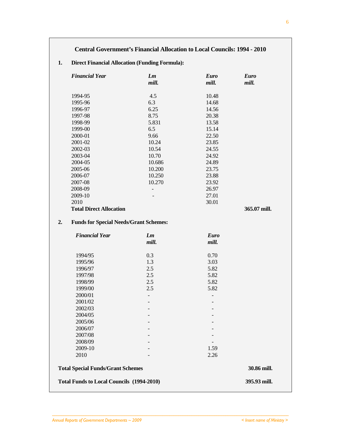**Central Government's Financial Allocation to Local Councils: 1994 - 2010** 

# **1. Direct Financial Allocation (Funding Formula):**

| <b>Financial Year</b>                            | Lm<br>mill.                                         | <b>Euro</b><br>mill. | <b>Euro</b><br>mill. |
|--------------------------------------------------|-----------------------------------------------------|----------------------|----------------------|
| 1994-95                                          | 4.5                                                 | 10.48                |                      |
| 1995-96                                          | 6.3                                                 | 14.68                |                      |
| 1996-97                                          | 6.25                                                | 14.56                |                      |
| 1997-98                                          | 8.75                                                | 20.38                |                      |
| 1998-99                                          | 5.831                                               | 13.58                |                      |
| 1999-00                                          | 6.5                                                 | 15.14                |                      |
| 2000-01                                          | 9.66                                                | 22.50                |                      |
| 2001-02                                          | 10.24                                               | 23.85                |                      |
| 2002-03                                          | 10.54                                               | 24.55                |                      |
| 2003-04                                          | 10.70                                               | 24.92                |                      |
| 2004-05                                          | 10.686                                              | 24.89                |                      |
| 2005-06                                          | 10.200                                              | 23.75                |                      |
| 2006-07                                          | 10.250                                              | 23.88                |                      |
| 2007-08                                          | 10.270                                              | 23.92                |                      |
| 2008-09                                          | $\blacksquare$                                      | 26.97                |                      |
| 2009-10                                          |                                                     | 27.01                |                      |
| 2010                                             |                                                     | 30.01                |                      |
| <b>Total Direct Allocation</b>                   |                                                     |                      | 365.07 mill.         |
| <b>Financial Year</b>                            | <b>Funds for Special Needs/Grant Schemes:</b><br>Lm | <b>Euro</b>          |                      |
|                                                  | mill.                                               | mill.                |                      |
|                                                  |                                                     |                      |                      |
| 1994/95                                          | 0.3                                                 | 0.70                 |                      |
| 1995/96                                          | 1.3                                                 | 3.03                 |                      |
| 1996/97                                          | 2.5                                                 | 5.82                 |                      |
| 1997/98                                          | 2.5                                                 | 5.82                 |                      |
| 1998/99                                          | 2.5                                                 | 5.82                 |                      |
| 1999/00                                          | 2.5                                                 | 5.82                 |                      |
| 2000/01                                          |                                                     |                      |                      |
| 2001/02                                          |                                                     |                      |                      |
| 2002/03                                          |                                                     |                      |                      |
| 2004/05                                          |                                                     |                      |                      |
| 2005/06                                          |                                                     |                      |                      |
| 2006/07                                          |                                                     |                      |                      |
| 2007/08                                          |                                                     |                      |                      |
| 2008/09                                          |                                                     |                      |                      |
| 2009-10<br>2010                                  |                                                     | 1.59<br>2.26         |                      |
| <b>Total Special Funds/Grant Schemes</b>         |                                                     |                      | 30.86 mill.          |
| <b>Total Funds to Local Councils (1994-2010)</b> |                                                     |                      | 395.93 mill.         |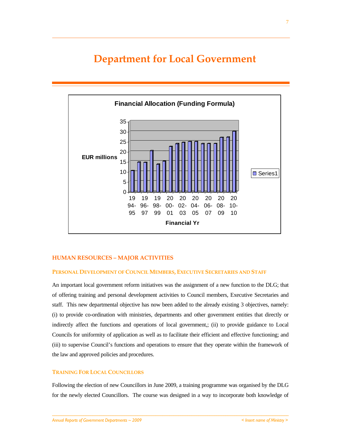

# **HUMAN RESOURCES – MAJOR ACTIVITIES**

#### **PERSONAL DEVELOPMENT OF COUNCIL MEMBERS, EXECUTIVE SECRETARIES AND STAFF**

An important local government reform initiatives was the assignment of a new function to the DLG; that of offering training and personal development activities to Council members, Executive Secretaries and staff. This new departmental objective has now been added to the already existing 3 objectives, namely: (i) to provide co-ordination with ministries, departments and other government entities that directly or indirectly affect the functions and operations of local government,; (ii) to provide guidance to Local Councils for uniformity of application as well as to facilitate their efficient and effective functioning; and (iii) to supervise Council's functions and operations to ensure that they operate within the framework of the law and approved policies and procedures.

### **TRAINING FOR LOCAL COUNCILLORS**

Following the election of new Councillors in June 2009, a training programme was organised by the DLG for the newly elected Councillors. The course was designed in a way to incorporate both knowledge of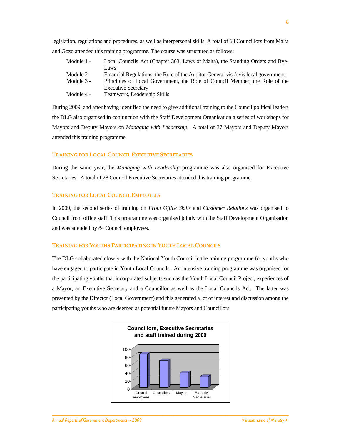legislation, regulations and procedures, as well as interpersonal skills. A total of 68 Councillors from Malta and Gozo attended this training programme. The course was structured as follows:

| Module 1 - | Local Councils Act (Chapter 363, Laws of Malta), the Standing Orders and Bye-     |
|------------|-----------------------------------------------------------------------------------|
|            | Laws                                                                              |
| Module 2 - | Financial Regulations, the Role of the Auditor General vis-à-vis local government |
| Module 3 - | Principles of Local Government, the Role of Council Member, the Role of the       |
|            | <b>Executive Secretary</b>                                                        |
| Module 4 - | Teamwork, Leadership Skills                                                       |

During 2009, and after having identified the need to give additional training to the Council political leaders the DLG also organised in conjunction with the Staff Development Organisation a series of workshops for Mayors and Deputy Mayors on *Managing with Leadership*. A total of 37 Mayors and Deputy Mayors attended this training programme.

### **TRAINING FOR LOCAL COUNCIL EXECUTIVE SECRETARIES**

During the same year, the *Managing with Leadership* programme was also organised for Executive Secretaries. A total of 28 Council Executive Secretaries attended this training programme.

# **TRAINING FOR LOCAL COUNCIL EMPLOYEES**

In 2009, the second series of training on *Front Office Skills* and *Customer Relations* was organised to Council front office staff. This programme was organised jointly with the Staff Development Organisation and was attended by 84 Council employees.

# **TRAINING FOR YOUTHS PARTICIPATING IN YOUTH LOCAL COUNCILS**

The DLG collaborated closely with the National Youth Council in the training programme for youths who have engaged to participate in Youth Local Councils. An intensive training programme was organised for the participating youths that incorporated subjects such as the Youth Local Council Project, experiences of a Mayor, an Executive Secretary and a Councillor as well as the Local Councils Act. The latter was presented by the Director (Local Government) and this generated a lot of interest and discussion among the participating youths who are deemed as potential future Mayors and Councillors.

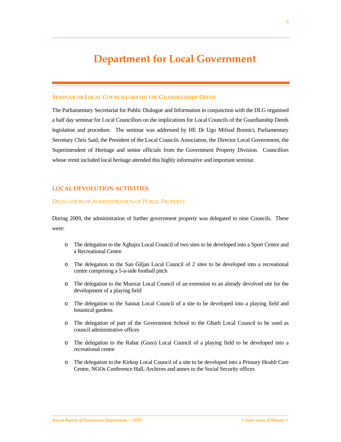#### **SEMINAR OR LOCAL COUNCILLORS ON THE GUARDIANSHIP DEEDS**

The Parliamentary Secretariat for Public Dialogue and Information in conjunction with the DLG organised a half day seminar for Local Councillors on the implications for Local Councils of the Guardianship Deeds legislation and procedure. The seminar was addressed by HE Dr Ugo Mifsud Bonnici, Parliamentary Secretary Chris Said, the President of the Local Councils Association, the Director Local Government, the Superintendent of Heritage and senior officials from the Government Property Division. Councillors whose remit included local heritage attended this highly informative and important seminar.

# **LOCAL DEVOLUTION ACTIVITIES**

#### DELEGATION OF ADMINISTRATION OF PUBLIC PROPERTY

During 2009, the administration of further government property was delegated to nine Councils. These were:

- o The delegation to the Xgħajra Local Council of two sites to be developed into a Sport Centre and a Recreational Centre
- o The delegation to the San Ġiljan Local Council of 2 sites to be developed into a recreational centre comprising a 5-a-side football pitch
- o The delegation to the Munxar Local Council of an extension to an already devolved site for the development of a playing field
- o The delegation to the Sannat Local Council of a site to be developed into a playing field and botanical gardens
- o The delegation of part of the Government School to the Għarb Local Council to be used as council administrative offices
- o The delegation to the Rabat (Gozo) Local Council of a playing field to be developed into a recreational centre
- o The delegation to the Kirkop Local Council of a site to be developed into a Primary Health Care Centre, NGOs Conference Hall, Archives and annex to the Social Security offices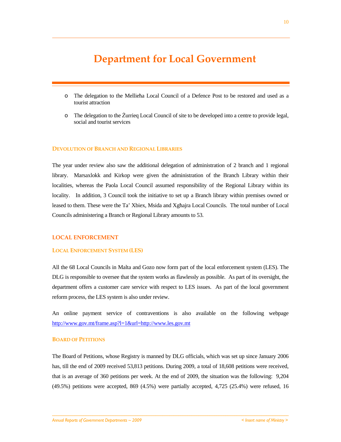- o The delegation to the Mellieħa Local Council of a Defence Post to be restored and used as a tourist attraction
- o The delegation to the Żurrieq Local Council of site to be developed into a centre to provide legal, social and tourist services

#### **DEVOLUTION OF BRANCH AND REGIONAL LIBRARIES**

The year under review also saw the additional delegation of administration of 2 branch and 1 regional library. Marsaxlokk and Kirkop were given the administration of the Branch Library within their localities, whereas the Paola Local Council assumed responsibility of the Regional Library within its locality. In addition, 3 Council took the initiative to set up a Branch library within premises owned or leased to them. These were the Ta' Xbiex, Msida and Xgħajra Local Councils. The total number of Local Councils administering a Branch or Regional Library amounts to 53.

# **LOCAL ENFORCEMENT**

#### **LOCAL ENFORCEMENT SYSTEM (LES)**

All the 68 Local Councils in Malta and Gozo now form part of the local enforcement system (LES). The DLG is responsible to oversee that the system works as flawlessly as possible. As part of its oversight, the department offers a customer care service with respect to LES issues. As part of the local government reform process, the LES system is also under review.

An online payment service of contraventions is also available on the following webpage http://www.gov.mt/frame.asp?l=1&url=http://www.les.gov.mt

#### **BOARD OF PETITIONS**

The Board of Petitions, whose Registry is manned by DLG officials, which was set up since January 2006 has, till the end of 2009 received 53,813 petitions. During 2009, a total of 18,608 petitions were received, that is an average of 360 petitions per week. At the end of 2009, the situation was the following: 9,204 (49.5%) petitions were accepted, 869 (4.5%) were partially accepted, 4,725 (25.4%) were refused, 16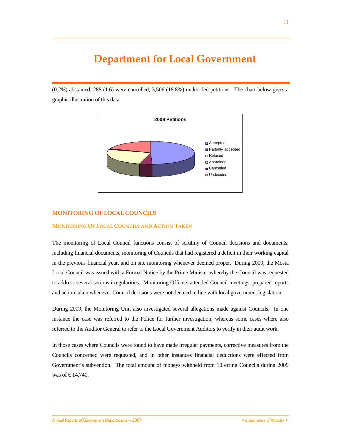(0.2%) abstained, 288 (1.6) were cancelled, 3,506 (18.8%) undecided petitions. The chart below gives a graphic illustration of this data.



# **MONITORING OF LOCAL COUNCILS**

# **MONITORING OF LOCAL COUNCILS AND ACTION TAKEN**

The monitoring of Local Council functions consist of scrutiny of Council decisions and documents, including financial documents, monitoring of Councils that had registered a deficit in their working capital in the previous financial year, and on site monitoring whenever deemed proper. During 2009, the Mosta Local Council was issued with a Formal Notice by the Prime Minister whereby the Council was requested to address several serious irregularities. Monitoring Officers attended Council meetings, prepared reports and action taken whenever Council decisions were not deemed in line with local government legislation.

During 2009, the Monitoring Unit also investigated several allegations made against Councils. In one instance the case was referred to the Police for further investigation, whereas some cases where also referred to the Auditor General to refer to the Local Government Auditors to verify in their audit work.

In those cases where Councils were found to have made irregular payments, corrective measures from the Councils concerned were requested, and in other instances financial deductions were effected from Government's subvention. The total amount of moneys withheld from 10 erring Councils during 2009 was of  $\in$  14,740.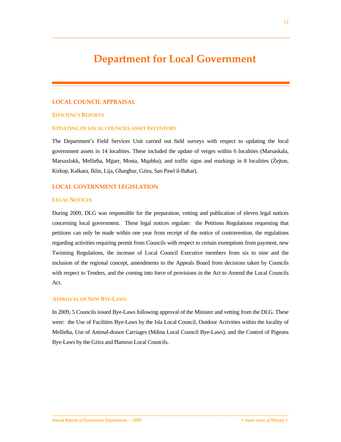# **LOCAL COUNCIL APPRAISAL**

#### **EFFICIENCY REPORTS**

#### **UPDATING OF LOCAL COUNCILS ASSET INVENTORY**

The Department's Field Services Unit carried out field surveys with respect to updating the local government assets in 14 localities. These included the update of verges within 6 localities (Marsaskala, Marsaxlokk, Mellieħa, Mġarr, Mosta, Mqabba), and traffic signs and markings in 8 localities (Żejtun, Kirkop, Kalkara, Iklin, Lija, Għargħur, Gżira, San Pawl il-Baħar).

# **LOCAL GOVERNMENT LEGISLATION**

### **LEGAL NOTICES**

During 2009, DLG was responsible for the preparation, vetting and publication of eleven legal notices concerning local government. These legal notices regulate: the Petitions Regulations requesting that petitions can only be made within one year from receipt of the notice of contravention, the regulations regarding activities requiring permit from Councils with respect to certain exemptions from payment, new Twinning Regulations, the increase of Local Council Executive members from six to nine and the inclusion of the regional concept, amendments to the Appeals Board from decisions taken by Councils with respect to Tenders, and the coming into force of provisions in the Act to Amend the Local Councils Act.

#### **APPROVAL OF NEW BYE-LAWS**

In 2009, 5 Councils issued Bye-Laws following approval of the Minister and vetting from the DLG. These were: the Use of Facilities Bye-Laws by the Isla Local Council, Outdoor Activities within the locality of Mellieħa, Use of Animal-drawn Carriages (Mdina Local Council Bye-Laws), and the Control of Pigeons Bye-Laws by the Gżira and Ħamrun Local Councils.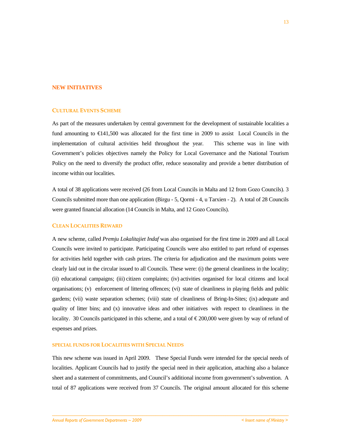#### **NEW INITIATIVES**

#### **CULTURAL EVENTS SCHEME**

As part of the measures undertaken by central government for the development of sustainable localities a fund amounting to  $\epsilon$ 141,500 was allocated for the first time in 2009 to assist Local Councils in the implementation of cultural activities held throughout the year. This scheme was in line with Government's policies objectives namely the Policy for Local Governance and the National Tourism Policy on the need to diversify the product offer, reduce seasonality and provide a better distribution of income within our localities.

A total of 38 applications were received (26 from Local Councils in Malta and 12 from Gozo Councils). 3 Councils submitted more than one application (Birgu - 5, Qormi - 4, u Tarxien - 2). A total of 28 Councils were granted financial allocation (14 Councils in Malta, and 12 Gozo Councils).

# **CLEAN LOCALITIES REWARD**

A new scheme, called *Premju Lokalitajiet Indaf* was also organised for the first time in 2009 and all Local Councils were invited to participate. Participating Councils were also entitled to part refund of expenses for activities held together with cash prizes. The criteria for adjudication and the maximum points were clearly laid out in the circular issued to all Councils. These were: (i) the general cleanliness in the locality; (ii) educational campaigns; (iii) citizen complaints; (iv) activities organised for local citizens and local organisations; (v) enforcement of littering offences; (vi) state of cleanliness in playing fields and public gardens; (vii) waste separation schemes; (viii) state of cleanliness of Bring-In-Sites; (ix) adequate and quality of litter bins; and (x) innovative ideas and other initiatives with respect to cleanliness in the locality. 30 Councils participated in this scheme, and a total of  $\epsilon$  200,000 were given by way of refund of expenses and prizes.

#### **SPECIAL FUNDS FOR LOCALITIES WITH SPECIAL NEEDS**

This new scheme was issued in April 2009. These Special Funds were intended for the special needs of localities. Applicant Councils had to justify the special need in their application, attaching also a balance sheet and a statement of commitments, and Council's additional income from government's subvention. A total of 87 applications were received from 37 Councils. The original amount allocated for this scheme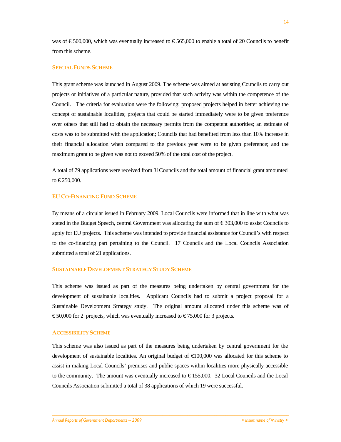was of € 500,000, which was eventually increased to € 565,000 to enable a total of 20 Councils to benefit from this scheme.

### **SPECIAL FUNDS SCHEME**

This grant scheme was launched in August 2009. The scheme was aimed at assisting Councils to carry out projects or initiatives of a particular nature, provided that such activity was within the competence of the Council. The criteria for evaluation were the following: proposed projects helped in better achieving the concept of sustainable localities; projects that could be started immediately were to be given preference over others that still had to obtain the necessary permits from the competent authorities; an estimate of costs was to be submitted with the application; Councils that had benefited from less than 10% increase in their financial allocation when compared to the previous year were to be given preference; and the maximum grant to be given was not to exceed 50% of the total cost of the project.

A total of 79 applications were received from 31Councils and the total amount of financial grant amounted to € 250,000.

# **EU CO-FINANCING FUND SCHEME**

By means of a circular issued in February 2009, Local Councils were informed that in line with what was stated in the Budget Speech, central Government was allocating the sum of  $\epsilon$  303,000 to assist Councils to apply for EU projects. This scheme was intended to provide financial assistance for Council's with respect to the co-financing part pertaining to the Council. 17 Councils and the Local Councils Association submitted a total of 21 applications.

#### **SUSTAINABLE DEVELOPMENT STRATEGY STUDY SCHEME**

This scheme was issued as part of the measures being undertaken by central government for the development of sustainable localities. Applicant Councils had to submit a project proposal for a Sustainable Development Strategy study. The original amount allocated under this scheme was of € 50,000 for 2 projects, which was eventually increased to € 75,000 for 3 projects.

### **ACCESSIBILITY SCHEME**

This scheme was also issued as part of the measures being undertaken by central government for the development of sustainable localities. An original budget of €100,000 was allocated for this scheme to assist in making Local Councils' premises and public spaces within localities more physically accessible to the community. The amount was eventually increased to  $\in$  155,000. 32 Local Councils and the Local Councils Association submitted a total of 38 applications of which 19 were successful.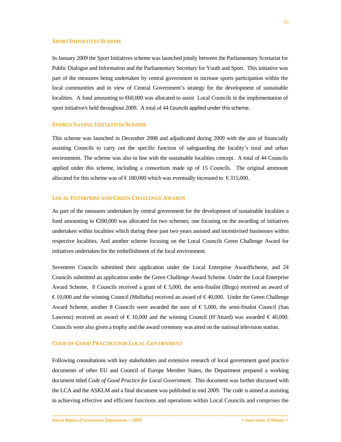#### **SPORT INITIATIVES SCHEME**

In January 2009 the Sport Initiatives scheme was launched jointly between the Parliamentary Scretariat for Public Dialogue and Information and the Parliamentary Secretary for Youth and Sport. This initiative was part of the measures being undertaken by central government to increase sports participation within the local communities and in view of Central Government's strategy for the development of sustainable localities. A fund amounting to €60,000 was allocated to assist Local Councils in the implementation of sport initiative/s held throughout 2009. A total of 44 Councils applied under this scheme.

### **ENERGY SAVING INITIATIVES SCHEME**

This scheme was launched in December 2008 and adjudicated during 2009 with the aim of financially assisting Councils to carry out the specific function of safeguarding the locality's rural and urban environment. The scheme was also in line with the sustainable localities concept. A total of 44 Councils applied under this scheme, including a consortium made up of 15 Councils. The original ammount allocated for this scheme was of € 180,000 which was eventually increased to € 315,000.

# **LOCAL ENTERPRISE AND GREEN CHALLENGE AWARDS**

As part of the measures undertaken by central government for the development of sustainable localities a fund amounting to  $\epsilon$ 200,000 was allocated for two schemes; one focusing on the awarding of initiatives undertaken within localities which during these past two years assisted and incentivised businesses within respective localities. And another scheme focusing on the Local Councils Green Challenge Award for initiatives undertaken for the embellishment of the local environment.

Seventeen Councils submitted their application under the Local Enterprise AwardScheme, and 24 Councils submitted an application under the Green Challenge Award Scheme. Under the Local Enterprise Award Scheme, 8 Councils received a grant of  $\epsilon$  5,000, the semi-finalist (Birgu) received an award of € 10,000 and the winning Council (Mellieha) received an award of € 40,000. Under the Green Challenge Award Scheme, another 8 Councils were awarded the sum of € 5,000, the semi-finalist Council (San Lawrenz) received an award of  $\epsilon$  10,000 and the winning Council (H'Attard) was awarded  $\epsilon$  40,000. Councils were also given a trophy and the award ceremony was aired on the national television station.

### **CODE OF GOOD PRACTICE FOR LOCAL GOVERNMENT**

Following consultations with key stakeholders and extensive research of local government good practice documents of other EU and Council of Europe Member States, the Department prepared a working document titled *Code of Good Practice for Local Government*. This document was further discussed with the LCA and the ASKLM and a final document was published in mid 2009. The code is aimed at assisting in achieving effective and efficient functions and operations within Local Councils and comprises the